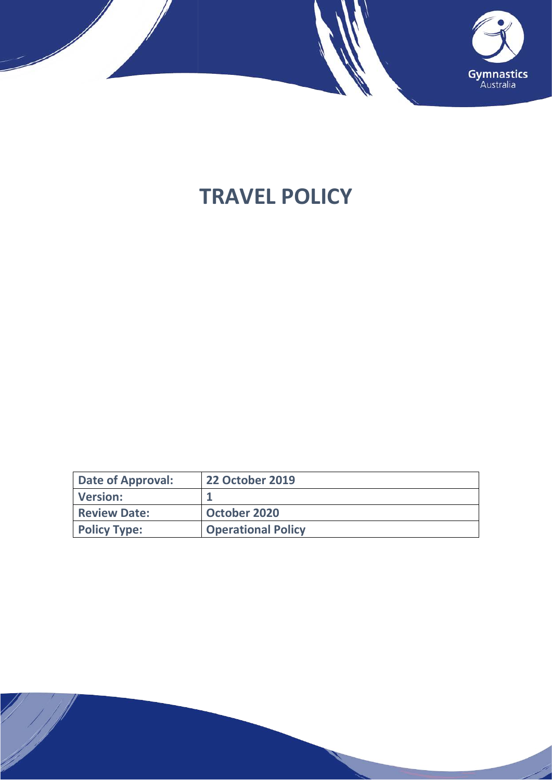

# **TRAVEL POLICY**

| Date of Approval:   | <b>22 October 2019</b>    |
|---------------------|---------------------------|
| Version:            |                           |
| <b>Review Date:</b> | October 2020              |
| <b>Policy Type:</b> | <b>Operational Policy</b> |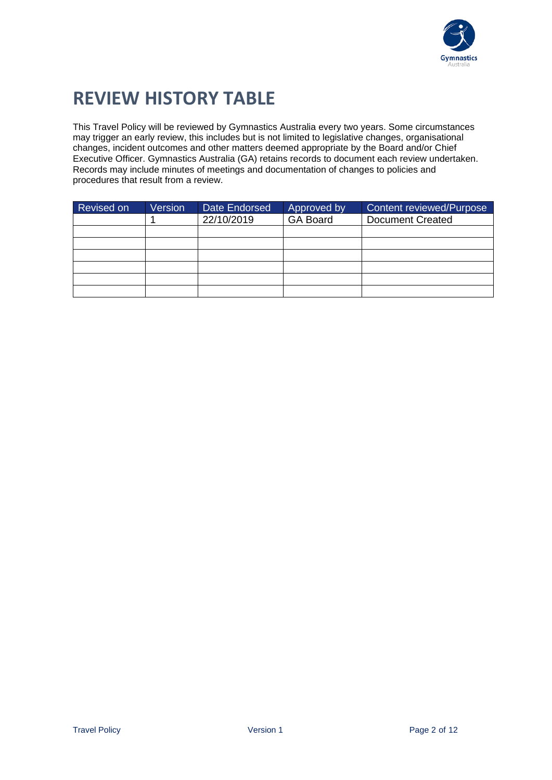

## **REVIEW HISTORY TABLE**

This Travel Policy will be reviewed by Gymnastics Australia every two years. Some circumstances may trigger an early review, this includes but is not limited to legislative changes, organisational changes, incident outcomes and other matters deemed appropriate by the Board and/or Chief Executive Officer. Gymnastics Australia (GA) retains records to document each review undertaken. Records may include minutes of meetings and documentation of changes to policies and procedures that result from a review.

| Revised on | Version | Date Endorsed | Approved by     | <b>Content reviewed/Purpose</b> |
|------------|---------|---------------|-----------------|---------------------------------|
|            |         | 22/10/2019    | <b>GA Board</b> | <b>Document Created</b>         |
|            |         |               |                 |                                 |
|            |         |               |                 |                                 |
|            |         |               |                 |                                 |
|            |         |               |                 |                                 |
|            |         |               |                 |                                 |
|            |         |               |                 |                                 |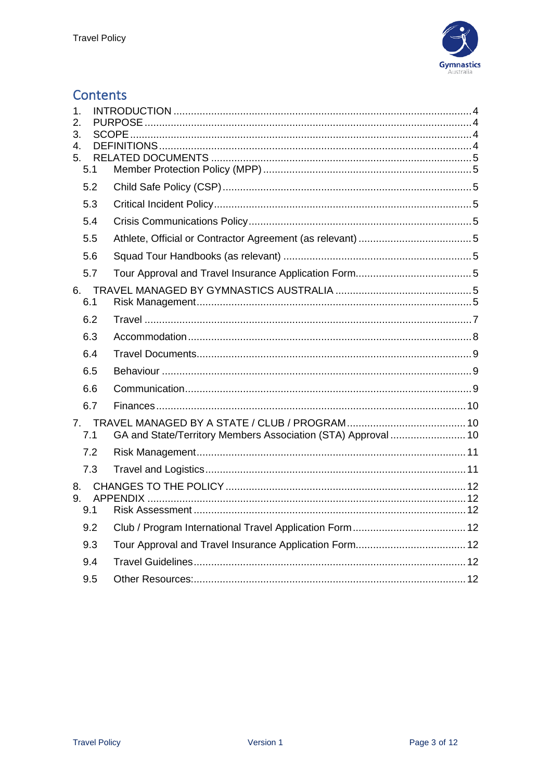

### **Contents**

| 1.<br>2.<br>3.  |                                                               |  |
|-----------------|---------------------------------------------------------------|--|
| 4.<br>5.<br>5.1 |                                                               |  |
| 5.2             |                                                               |  |
| 5.3             |                                                               |  |
| 5.4             |                                                               |  |
| 5.5             |                                                               |  |
| 5.6             |                                                               |  |
| 5.7             |                                                               |  |
| 6.1             |                                                               |  |
| 6.2             |                                                               |  |
| 6.3             |                                                               |  |
| 6.4             |                                                               |  |
| 6.5             |                                                               |  |
| 6.6             |                                                               |  |
| 6.7             |                                                               |  |
| 7.1             | GA and State/Territory Members Association (STA) Approval  10 |  |
| 7.2             |                                                               |  |
| 7.3             |                                                               |  |
| 9.<br>9.1       |                                                               |  |
| 9.2             |                                                               |  |
| 9.3             |                                                               |  |
| 9.4             |                                                               |  |
| 9.5             |                                                               |  |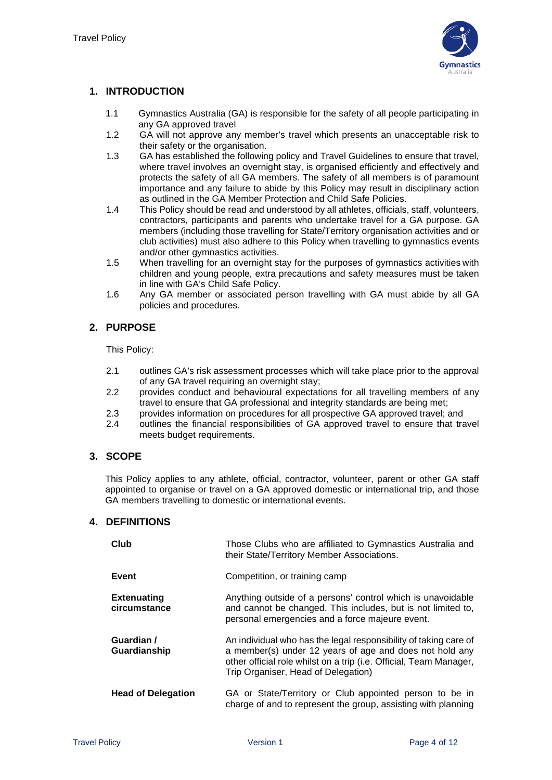

#### <span id="page-3-0"></span>**1. INTRODUCTION**

- 1.1 Gymnastics Australia (GA) is responsible for the safety of all people participating in any GA approved travel
- 1.2 GA will not approve any member's travel which presents an unacceptable risk to their safety or the organisation.
- 1.3 GA has established the following policy and Travel Guidelines to ensure that travel, where travel involves an overnight stay, is organised efficiently and effectively and protects the safety of all GA members. The safety of all members is of paramount importance and any failure to abide by this Policy may result in disciplinary action as outlined in the GA Member Protection and Child Safe Policies.
- 1.4 This Policy should be read and understood by all athletes, officials, staff, volunteers, contractors, participants and parents who undertake travel for a GA purpose. GA members (including those travelling for State/Territory organisation activities and or club activities) must also adhere to this Policy when travelling to gymnastics events and/or other gymnastics activities.
- 1.5 When travelling for an overnight stay for the purposes of gymnastics activities with children and young people, extra precautions and safety measures must be taken in line with GA's Child Safe Policy.
- 1.6 Any GA member or associated person travelling with GA must abide by all GA policies and procedures.

#### <span id="page-3-1"></span>**2. PURPOSE**

This Policy:

- 2.1 outlines GA's risk assessment processes which will take place prior to the approval of any GA travel requiring an overnight stay;
- 2.2 provides conduct and behavioural expectations for all travelling members of any travel to ensure that GA professional and integrity standards are being met;
- 2.3 provides information on procedures for all prospective GA approved travel; and<br>2.4 outlines the financial responsibilities of GA approved travel to ensure that tra
- 2.4 outlines the financial responsibilities of GA approved travel to ensure that travel meets budget requirements.

#### <span id="page-3-2"></span>**3. SCOPE**

This Policy applies to any athlete, official, contractor, volunteer, parent or other GA staff appointed to organise or travel on a GA approved domestic or international trip, and those GA members travelling to domestic or international events.

#### <span id="page-3-3"></span>**4. DEFINITIONS**

| Club                               | Those Clubs who are affiliated to Gymnastics Australia and<br>their State/Territory Member Associations.                                                                                                                                 |
|------------------------------------|------------------------------------------------------------------------------------------------------------------------------------------------------------------------------------------------------------------------------------------|
| Event                              | Competition, or training camp                                                                                                                                                                                                            |
| <b>Extenuating</b><br>circumstance | Anything outside of a persons' control which is unavoidable<br>and cannot be changed. This includes, but is not limited to,<br>personal emergencies and a force majeure event.                                                           |
| Guardian /<br>Guardianship         | An individual who has the legal responsibility of taking care of<br>a member(s) under 12 years of age and does not hold any<br>other official role whilst on a trip (i.e. Official, Team Manager,<br>Trip Organiser, Head of Delegation) |
| <b>Head of Delegation</b>          | GA or State/Territory or Club appointed person to be in<br>charge of and to represent the group, assisting with planning                                                                                                                 |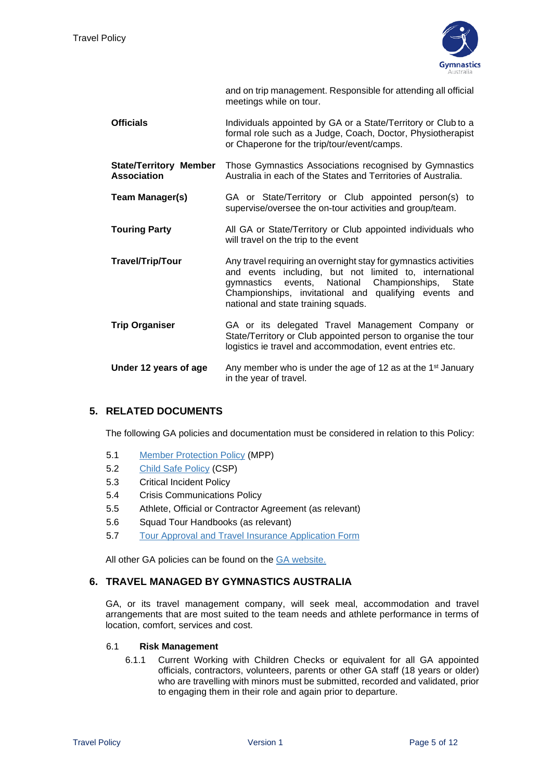

and on trip management. Responsible for attending all official meetings while on tour.

- **Officials Individuals appointed by GA or a State/Territory or Club to a** formal role such as a Judge, Coach, Doctor, Physiotherapist or Chaperone for the trip/tour/event/camps.
- **State/Territory Member Association** Those Gymnastics Associations recognised by Gymnastics Australia in each of the States and Territories of Australia.
- **Team Manager(s)** GA or State/Territory or Club appointed person(s) to supervise/oversee the on-tour activities and group/team.
- **Touring Party All GA or State/Territory or Club appointed individuals who** will travel on the trip to the event
- **Travel/Trip/Tour** Any travel requiring an overnight stay for gymnastics activities and events including, but not limited to, international gymnastics events, National Championships, State Championships, invitational and qualifying events and national and state training squads.
- **Trip Organiser** GA or its delegated Travel Management Company or State/Territory or Club appointed person to organise the tour logistics ie travel and accommodation, event entries etc.
- **Under 12 years of age** Any member who is under the age of 12 as at the 1<sup>st</sup> January in the year of travel.

#### <span id="page-4-0"></span>**5. RELATED DOCUMENTS**

The following GA policies and documentation must be considered in relation to this Policy:

- <span id="page-4-1"></span>5.1 [Member Protection Policy](https://www.gymnastics.org.au/images/national/About_Us/By_laws_Policies_Tech_Regs/Member_Protection_Policy_0219.pdf) (MPP)
- <span id="page-4-2"></span>5.2 [Child Safe Policy](https://www.gymnastics.org.au/images/national/About_Us/By_laws_Policies_Tech_Regs/Child_Safe_Policy_0219.pdf) (CSP)
- <span id="page-4-3"></span>5.3 Critical Incident Policy
- <span id="page-4-4"></span>5.4 Crisis Communications Policy
- <span id="page-4-5"></span>5.5 Athlete, Official or Contractor Agreement (as relevant)
- <span id="page-4-6"></span>5.6 Squad Tour Handbooks (as relevant)
- <span id="page-4-7"></span>5.7 Tour Approval [and Travel Insurance Application Form](http://www.gymnastics.org.au/GA/Club_Development/Club_Affiliation/2018_Affiliation_Resources/Ga/Club_Development/Club_Affiliation/2018_Affiliation_Resources.aspx?hkey=aeba5dde-7e13-4527-af96-ab16bb661560)

All other GA policies can be found on the [GA website.](https://www.gymnastics.org.au/GA/About_Us/By-laws__Policies___Technical_Regulations/Ga/About/By-laws__Policies___Technical_Regulations.aspx?hkey=08379530-4144-406e-ba6f-914e3e53d934)

#### <span id="page-4-8"></span>**6. TRAVEL MANAGED BY GYMNASTICS AUSTRALIA**

GA, or its travel management company, will seek meal, accommodation and travel arrangements that are most suited to the team needs and athlete performance in terms of location, comfort, services and cost.

#### <span id="page-4-9"></span>6.1 **Risk Management**

6.1.1 Current Working with Children Checks or equivalent for all GA appointed officials, contractors, volunteers, parents or other GA staff (18 years or older) who are travelling with minors must be submitted, recorded and validated, prior to engaging them in their role and again prior to departure.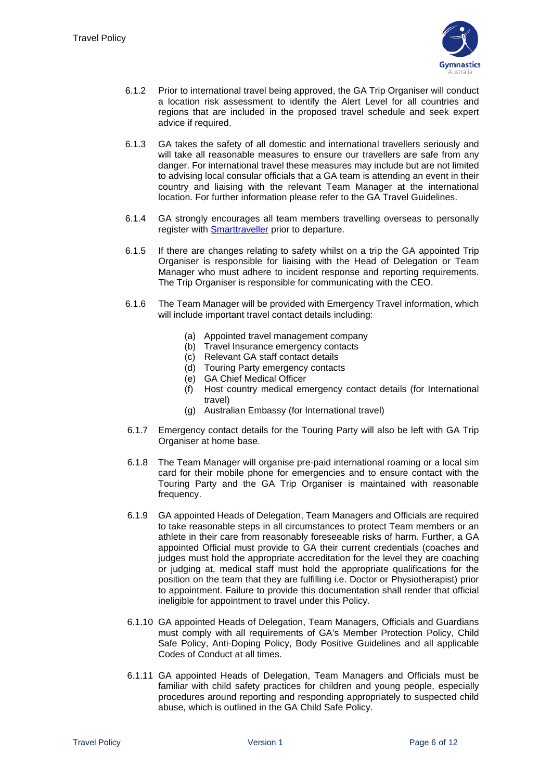

- 6.1.2 Prior to international travel being approved, the GA Trip Organiser will conduct a location risk assessment to identify the Alert Level for all countries and regions that are included in the proposed travel schedule and seek expert advice if required.
- 6.1.3 GA takes the safety of all domestic and international travellers seriously and will take all reasonable measures to ensure our travellers are safe from any danger. For international travel these measures may include but are not limited to advising local consular officials that a GA team is attending an event in their country and liaising with the relevant Team Manager at the international location. For further information please refer to the GA Travel Guidelines.
- 6.1.4 GA strongly encourages all team members travelling overseas to personally register with [Smarttraveller](https://smartraveller.gov.au/Pages/default.aspx) prior to departure.
- 6.1.5 If there are changes relating to safety whilst on a trip the GA appointed Trip Organiser is responsible for liaising with the Head of Delegation or Team Manager who must adhere to incident response and reporting requirements. The Trip Organiser is responsible for communicating with the CEO.
- 6.1.6 The Team Manager will be provided with Emergency Travel information, which will include important travel contact details including:
	- (a) Appointed travel management company
	- (b) Travel Insurance emergency contacts
	- (c) Relevant GA staff contact details
	- (d) Touring Party emergency contacts
	- (e) GA Chief Medical Officer
	- (f) Host country medical emergency contact details (for International travel)
	- (g) Australian Embassy (for International travel)
- 6.1.7 Emergency contact details for the Touring Party will also be left with GA Trip Organiser at home base.
- 6.1.8 The Team Manager will organise pre-paid international roaming or a local sim card for their mobile phone for emergencies and to ensure contact with the Touring Party and the GA Trip Organiser is maintained with reasonable frequency.
- 6.1.9 GA appointed Heads of Delegation, Team Managers and Officials are required to take reasonable steps in all circumstances to protect Team members or an athlete in their care from reasonably foreseeable risks of harm. Further, a GA appointed Official must provide to GA their current credentials (coaches and judges must hold the appropriate accreditation for the level they are coaching or judging at, medical staff must hold the appropriate qualifications for the position on the team that they are fulfilling i.e. Doctor or Physiotherapist) prior to appointment. Failure to provide this documentation shall render that official ineligible for appointment to travel under this Policy.
- 6.1.10 GA appointed Heads of Delegation, Team Managers, Officials and Guardians must comply with all requirements of GA's Member Protection Policy, Child Safe Policy, Anti-Doping Policy, Body Positive Guidelines and all applicable Codes of Conduct at all times.
- 6.1.11 GA appointed Heads of Delegation, Team Managers and Officials must be familiar with child safety practices for children and young people, especially procedures around reporting and responding appropriately to suspected child abuse, which is outlined in the GA Child Safe Policy.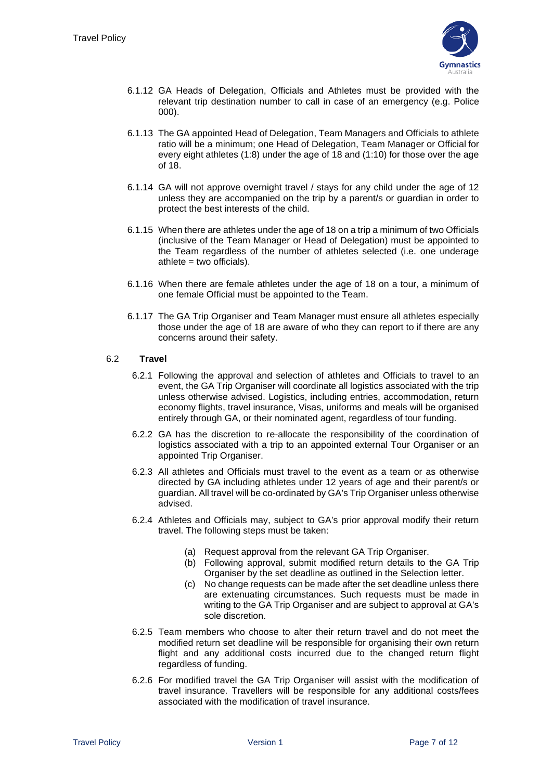

- 6.1.12 GA Heads of Delegation, Officials and Athletes must be provided with the relevant trip destination number to call in case of an emergency (e.g. Police 000).
- 6.1.13 The GA appointed Head of Delegation, Team Managers and Officials to athlete ratio will be a minimum; one Head of Delegation, Team Manager or Official for every eight athletes (1:8) under the age of 18 and (1:10) for those over the age of 18.
- 6.1.14 GA will not approve overnight travel / stays for any child under the age of 12 unless they are accompanied on the trip by a parent/s or guardian in order to protect the best interests of the child.
- 6.1.15 When there are athletes under the age of 18 on a trip a minimum of two Officials (inclusive of the Team Manager or Head of Delegation) must be appointed to the Team regardless of the number of athletes selected (i.e. one underage athlete = two officials).
- 6.1.16 When there are female athletes under the age of 18 on a tour, a minimum of one female Official must be appointed to the Team.
- 6.1.17 The GA Trip Organiser and Team Manager must ensure all athletes especially those under the age of 18 are aware of who they can report to if there are any concerns around their safety.

#### <span id="page-6-0"></span>6.2 **Travel**

- 6.2.1 Following the approval and selection of athletes and Officials to travel to an event, the GA Trip Organiser will coordinate all logistics associated with the trip unless otherwise advised. Logistics, including entries, accommodation, return economy flights, travel insurance, Visas, uniforms and meals will be organised entirely through GA, or their nominated agent, regardless of tour funding.
- 6.2.2 GA has the discretion to re-allocate the responsibility of the coordination of logistics associated with a trip to an appointed external Tour Organiser or an appointed Trip Organiser.
- 6.2.3 All athletes and Officials must travel to the event as a team or as otherwise directed by GA including athletes under 12 years of age and their parent/s or guardian. All travel will be co-ordinated by GA's Trip Organiser unless otherwise advised.
- 6.2.4 Athletes and Officials may, subject to GA's prior approval modify their return travel. The following steps must be taken:
	- (a) Request approval from the relevant GA Trip Organiser.
	- (b) Following approval, submit modified return details to the GA Trip Organiser by the set deadline as outlined in the Selection letter.
	- (c) No change requests can be made after the set deadline unless there are extenuating circumstances. Such requests must be made in writing to the GA Trip Organiser and are subject to approval at GA's sole discretion.
- 6.2.5 Team members who choose to alter their return travel and do not meet the modified return set deadline will be responsible for organising their own return flight and any additional costs incurred due to the changed return flight regardless of funding.
- 6.2.6 For modified travel the GA Trip Organiser will assist with the modification of travel insurance. Travellers will be responsible for any additional costs/fees associated with the modification of travel insurance.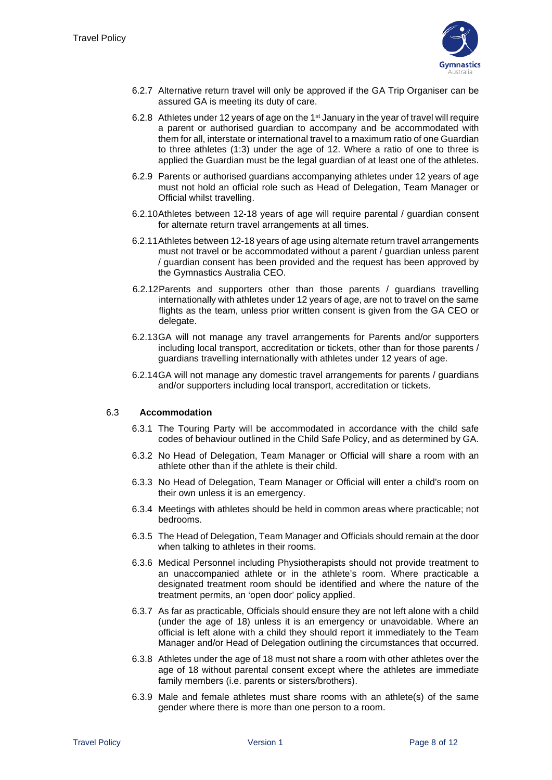

- 6.2.7 Alternative return travel will only be approved if the GA Trip Organiser can be assured GA is meeting its duty of care.
- 6.2.8 Athletes under 12 years of age on the 1st January in the year of travel will require a parent or authorised guardian to accompany and be accommodated with them for all, interstate or international travel to a maximum ratio of one Guardian to three athletes (1:3) under the age of 12. Where a ratio of one to three is applied the Guardian must be the legal guardian of at least one of the athletes.
- 6.2.9 Parents or authorised guardians accompanying athletes under 12 years of age must not hold an official role such as Head of Delegation, Team Manager or Official whilst travelling.
- 6.2.10Athletes between 12-18 years of age will require parental / guardian consent for alternate return travel arrangements at all times.
- 6.2.11Athletes between 12-18 years of age using alternate return travel arrangements must not travel or be accommodated without a parent / guardian unless parent / guardian consent has been provided and the request has been approved by the Gymnastics Australia CEO.
- 6.2.12Parents and supporters other than those parents / guardians travelling internationally with athletes under 12 years of age, are not to travel on the same flights as the team, unless prior written consent is given from the GA CEO or delegate.
- 6.2.13GA will not manage any travel arrangements for Parents and/or supporters including local transport, accreditation or tickets, other than for those parents / guardians travelling internationally with athletes under 12 years of age.
- 6.2.14GA will not manage any domestic travel arrangements for parents / guardians and/or supporters including local transport, accreditation or tickets.

#### <span id="page-7-0"></span>6.3 **Accommodation**

- 6.3.1 The Touring Party will be accommodated in accordance with the child safe codes of behaviour outlined in the Child Safe Policy, and as determined by GA.
- 6.3.2 No Head of Delegation, Team Manager or Official will share a room with an athlete other than if the athlete is their child.
- 6.3.3 No Head of Delegation, Team Manager or Official will enter a child's room on their own unless it is an emergency.
- 6.3.4 Meetings with athletes should be held in common areas where practicable; not bedrooms.
- 6.3.5 The Head of Delegation, Team Manager and Officials should remain at the door when talking to athletes in their rooms.
- 6.3.6 Medical Personnel including Physiotherapists should not provide treatment to an unaccompanied athlete or in the athlete's room. Where practicable a designated treatment room should be identified and where the nature of the treatment permits, an 'open door' policy applied.
- 6.3.7 As far as practicable, Officials should ensure they are not left alone with a child (under the age of 18) unless it is an emergency or unavoidable. Where an official is left alone with a child they should report it immediately to the Team Manager and/or Head of Delegation outlining the circumstances that occurred.
- 6.3.8 Athletes under the age of 18 must not share a room with other athletes over the age of 18 without parental consent except where the athletes are immediate family members (i.e. parents or sisters/brothers).
- 6.3.9 Male and female athletes must share rooms with an athlete(s) of the same gender where there is more than one person to a room.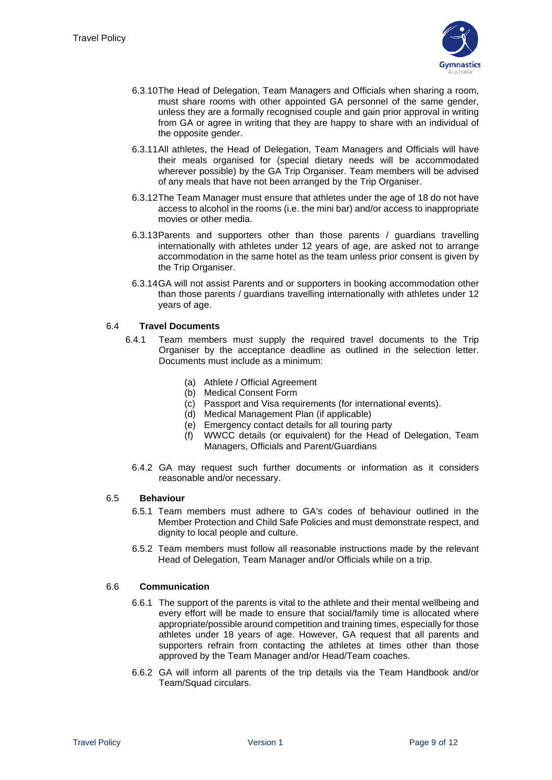

- 6.3.10The Head of Delegation, Team Managers and Officials when sharing a room, must share rooms with other appointed GA personnel of the same gender, unless they are a formally recognised couple and gain prior approval in writing from GA or agree in writing that they are happy to share with an individual of the opposite gender.
- 6.3.11All athletes, the Head of Delegation, Team Managers and Officials will have their meals organised for (special dietary needs will be accommodated wherever possible) by the GA Trip Organiser. Team members will be advised of any meals that have not been arranged by the Trip Organiser.
- 6.3.12The Team Manager must ensure that athletes under the age of 18 do not have access to alcohol in the rooms (i.e. the mini bar) and/or access to inappropriate movies or other media.
- 6.3.13Parents and supporters other than those parents / guardians travelling internationally with athletes under 12 years of age, are asked not to arrange accommodation in the same hotel as the team unless prior consent is given by the Trip Organiser.
- 6.3.14GA will not assist Parents and or supporters in booking accommodation other than those parents / guardians travelling internationally with athletes under 12 years of age.

#### <span id="page-8-0"></span>6.4 **Travel Documents**

- 6.4.1 Team members must supply the required travel documents to the Trip Organiser by the acceptance deadline as outlined in the selection letter. Documents must include as a minimum:
	- (a) Athlete / Official Agreement
	- (b) Medical Consent Form
	- (c) Passport and Visa requirements (for international events).
	- (d) Medical Management Plan (if applicable)
	- (e) Emergency contact details for all touring party
	- (f) WWCC details (or equivalent) for the Head of Delegation, Team Managers, Officials and Parent/Guardians
	- 6.4.2 GA may request such further documents or information as it considers reasonable and/or necessary.

#### <span id="page-8-1"></span>6.5 **Behaviour**

- 6.5.1 Team members must adhere to GA's codes of behaviour outlined in the Member Protection and Child Safe Policies and must demonstrate respect, and dignity to local people and culture.
- 6.5.2 Team members must follow all reasonable instructions made by the relevant Head of Delegation, Team Manager and/or Officials while on a trip.

#### <span id="page-8-2"></span>6.6 **Communication**

- 6.6.1 The support of the parents is vital to the athlete and their mental wellbeing and every effort will be made to ensure that social/family time is allocated where appropriate/possible around competition and training times, especially for those athletes under 18 years of age. However, GA request that all parents and supporters refrain from contacting the athletes at times other than those approved by the Team Manager and/or Head/Team coaches.
- 6.6.2 GA will inform all parents of the trip details via the Team Handbook and/or Team/Squad circulars.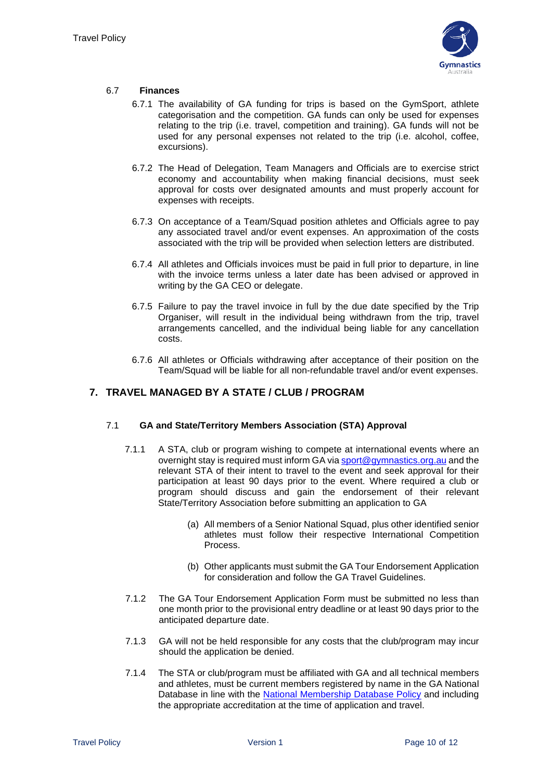

#### <span id="page-9-0"></span>6.7 **Finances**

- 6.7.1 The availability of GA funding for trips is based on the GymSport, athlete categorisation and the competition. GA funds can only be used for expenses relating to the trip (i.e. travel, competition and training). GA funds will not be used for any personal expenses not related to the trip (i.e. alcohol, coffee, excursions).
- 6.7.2 The Head of Delegation, Team Managers and Officials are to exercise strict economy and accountability when making financial decisions, must seek approval for costs over designated amounts and must properly account for expenses with receipts.
- 6.7.3 On acceptance of a Team/Squad position athletes and Officials agree to pay any associated travel and/or event expenses. An approximation of the costs associated with the trip will be provided when selection letters are distributed.
- 6.7.4 All athletes and Officials invoices must be paid in full prior to departure, in line with the invoice terms unless a later date has been advised or approved in writing by the GA CEO or delegate.
- 6.7.5 Failure to pay the travel invoice in full by the due date specified by the Trip Organiser, will result in the individual being withdrawn from the trip, travel arrangements cancelled, and the individual being liable for any cancellation costs.
- 6.7.6 All athletes or Officials withdrawing after acceptance of their position on the Team/Squad will be liable for all non-refundable travel and/or event expenses.

#### <span id="page-9-1"></span>**7. TRAVEL MANAGED BY A STATE / CLUB / PROGRAM**

#### <span id="page-9-2"></span>7.1 **GA and State/Territory Members Association (STA) Approval**

- 7.1.1 A STA, club or program wishing to compete at international events where an overnight stay is required must inform GA via [sport@gymnastics.org.au](mailto:sport@gymnastics.org.au) and the relevant STA of their intent to travel to the event and seek approval for their participation at least 90 days prior to the event. Where required a club or program should discuss and gain the endorsement of their relevant State/Territory Association before submitting an application to GA
	- (a) All members of a Senior National Squad, plus other identified senior athletes must follow their respective International Competition Process.
	- (b) Other applicants must submit the GA Tour Endorsement Application for consideration and follow the GA Travel Guidelines.
- 7.1.2 The GA Tour Endorsement Application Form must be submitted no less than one month prior to the provisional entry deadline or at least 90 days prior to the anticipated departure date.
- 7.1.3 GA will not be held responsible for any costs that the club/program may incur should the application be denied.
- 7.1.4 The STA or club/program must be affiliated with GA and all technical members and athletes, must be current members registered by name in the GA National Database in line with the [National Membership Database Policy](https://www.gymnastics.org.au/images/national/About_Us/By_laws_Policies_Tech_Regs/National%20Membership%20Database%20Policy%20FINAL%20Aug%202015.pdf) and including the appropriate accreditation at the time of application and travel.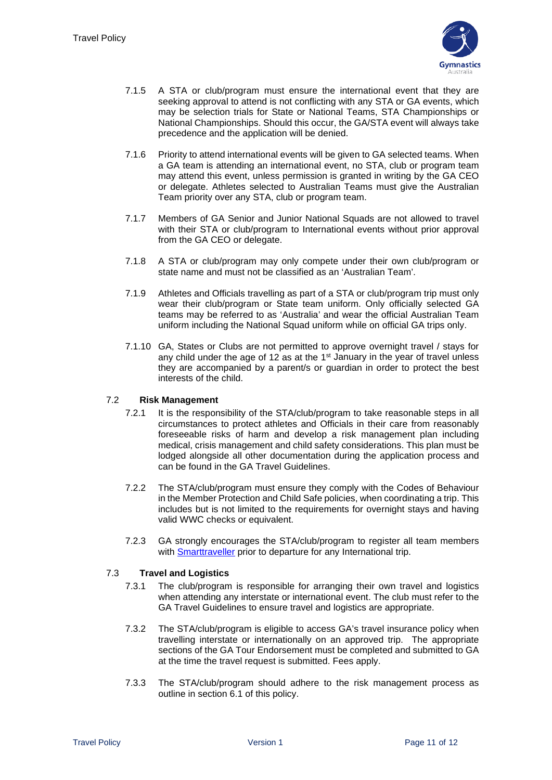

- 7.1.5 A STA or club/program must ensure the international event that they are seeking approval to attend is not conflicting with any STA or GA events, which may be selection trials for State or National Teams, STA Championships or National Championships. Should this occur, the GA/STA event will always take precedence and the application will be denied.
- 7.1.6 Priority to attend international events will be given to GA selected teams. When a GA team is attending an international event, no STA, club or program team may attend this event, unless permission is granted in writing by the GA CEO or delegate. Athletes selected to Australian Teams must give the Australian Team priority over any STA, club or program team.
- 7.1.7 Members of GA Senior and Junior National Squads are not allowed to travel with their STA or club/program to International events without prior approval from the GA CEO or delegate.
- 7.1.8 A STA or club/program may only compete under their own club/program or state name and must not be classified as an 'Australian Team'.
- 7.1.9 Athletes and Officials travelling as part of a STA or club/program trip must only wear their club/program or State team uniform. Only officially selected GA teams may be referred to as 'Australia' and wear the official Australian Team uniform including the National Squad uniform while on official GA trips only.
- 7.1.10 GA, States or Clubs are not permitted to approve overnight travel / stays for any child under the age of 12 as at the  $1<sup>st</sup>$  January in the year of travel unless they are accompanied by a parent/s or guardian in order to protect the best interests of the child.

#### <span id="page-10-0"></span>7.2 **Risk Management**

- 7.2.1 It is the responsibility of the STA/club/program to take reasonable steps in all circumstances to protect athletes and Officials in their care from reasonably foreseeable risks of harm and develop a risk management plan including medical, crisis management and child safety considerations. This plan must be lodged alongside all other documentation during the application process and can be found in the GA Travel Guidelines.
- 7.2.2 The STA/club/program must ensure they comply with the Codes of Behaviour in the Member Protection and Child Safe policies, when coordinating a trip. This includes but is not limited to the requirements for overnight stays and having valid WWC checks or equivalent.
- 7.2.3 GA strongly encourages the STA/club/program to register all team members with **Smarttraveller** prior to departure for any International trip.

#### <span id="page-10-1"></span>7.3 **Travel and Logistics**

- 7.3.1 The club/program is responsible for arranging their own travel and logistics when attending any interstate or international event. The club must refer to the GA Travel Guidelines to ensure travel and logistics are appropriate.
- 7.3.2 The STA/club/program is eligible to access GA's travel insurance policy when travelling interstate or internationally on an approved trip. The appropriate sections of the GA Tour Endorsement must be completed and submitted to GA at the time the travel request is submitted. Fees apply.
- 7.3.3 The STA/club/program should adhere to the risk management process as outline in section 6.1 of this policy.